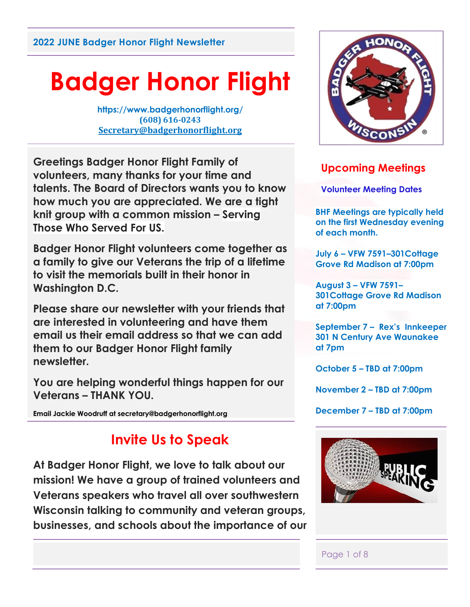# **Badger Honor Flight**

**https://www.badgerhonorflight.org/ (608) 616-0243 [Secretary@badgerhonorflight.org](mailto:Secretary@badgerhonorflight.org)**

**Greetings Badger Honor Flight Family of volunteers, many thanks for your time and talents. The Board of Directors wants you to know how much you are appreciated. We are a tight knit group with a common mission – Serving Those Who Served For US.**

**Badger Honor Flight volunteers come together as a family to give our Veterans the trip of a lifetime to visit the memorials built in their honor in Washington D.C.**

**Please share our newsletter with your friends that are interested in volunteering and have them email us their email address so that we can add them to our Badger Honor Flight family newsletter.**

**You are helping wonderful things happen for our Veterans – THANK YOU.** 

**Email Jackie Woodruff at secretary@badgerhonorflight.org**

## **Invite Us to Speak**

**At Badger Honor Flight, we love to talk about our mission! We have a group of trained volunteers and Veterans speakers who travel all over southwestern Wisconsin talking to community and veteran groups, businesses, and schools about the importance of our** 



## **Upcoming Meetings**

**Volunteer Meeting Dates**

**BHF Meetings are typically held on the first Wednesday evening of each month.** 

**July 6 – VFW 7591–301Cottage Grove Rd Madison at 7:00pm**

**August 3 – VFW 7591– 301Cottage Grove Rd Madison at 7:00pm**

**September 7 – Rex's Innkeeper 301 N Century Ave Waunakee at 7pm** 

**October 5 – TBD at 7:00pm**

**November 2 – TBD at 7:00pm** 

**December 7 – TBD at 7:00pm**



#### Page 1 of 8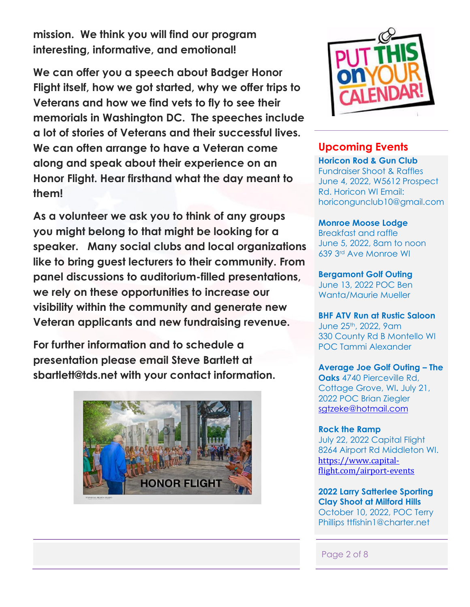**mission. We think you will find our program interesting, informative, and emotional!**

**We can offer you a speech about Badger Honor Flight itself, how we got started, why we offer trips to Veterans and how we find vets to fly to see their memorials in Washington DC. The speeches include a lot of stories of Veterans and their successful lives. We can often arrange to have a Veteran come along and speak about their experience on an Honor Flight. Hear firsthand what the day meant to them!**

**As a volunteer we ask you to think of any groups you might belong to that might be looking for a speaker. Many social clubs and local organizations like to bring guest lecturers to their community. From panel discussions to auditorium-filled presentations, we rely on these opportunities to increase our visibility within the community and generate new Veteran applicants and new fundraising revenue.** 

**For further information and to schedule a presentation please email Steve Bartlett at sbartlett@tds.net with your contact information.**





#### **Upcoming Events**

**Horicon Rod & Gun Club**  Fundraiser Shoot & Raffles June 4, 2022, W5612 Prospect Rd. Horicon WI Email: horicongunclub10@gmail.com

**Monroe Moose Lodge** Breakfast and raffle June 5, 2022, 8am to noon

**Bergamont Golf Outing**  June 13, 2022 POC Ben Wanta/Maurie Mueller

639 3rd Ave Monroe WI

**BHF ATV Run at Rustic Saloon** June 25th, 2022, 9am 330 County Rd B Montello WI POC Tammi Alexander

**Average Joe Golf Outing – The Oaks** 4740 Pierceville Rd, Cottage Grove, WI**.** July 21, 2022 POC Brian Ziegler [sgtzeke@hotmail.com](mailto:sgtzeke@hotmail.com)

#### **Rock the Ramp** July 22, 2022 Capital Flight 8264 Airport Rd Middleton WI. [https://www.capital](https://www.capital-flight.com/airport-events?fbclid=IwAR3IGsxyjvfqaxzUa1nk_MQNmuTKSbTI9R_k3_Ype-_thEeKNaXaCZhFXYQ)[flight.com/airport-events](https://www.capital-flight.com/airport-events?fbclid=IwAR3IGsxyjvfqaxzUa1nk_MQNmuTKSbTI9R_k3_Ype-_thEeKNaXaCZhFXYQ)

**2022 Larry Satterlee Sporting Clay Shoot at Milford Hills** October 10, 2022, POC Terry Phillips ttfishin1@charter.net

Page 2 of 8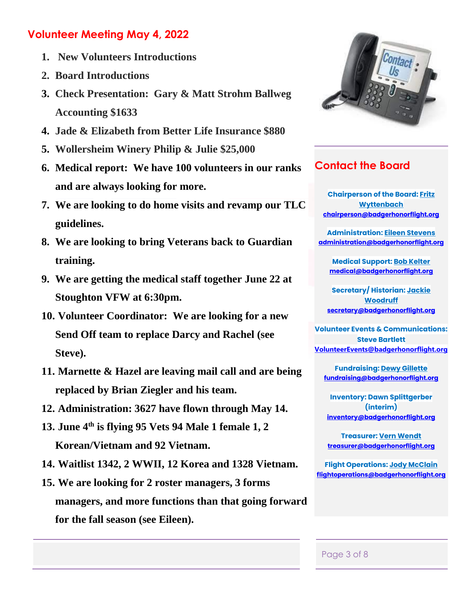### **Volunteer Meeting May 4, 2022**

- **1. New Volunteers Introductions**
- **2. Board Introductions**
- **3. Check Presentation: Gary & Matt Strohm Ballweg Accounting \$1633**
- **4. Jade & Elizabeth from Better Life Insurance \$880**
- **5. Wollersheim Winery Philip & Julie \$25,000**
- **6. Medical report: We have 100 volunteers in our ranks and are always looking for more.**
- **7. We are looking to do home visits and revamp our TLC guidelines.**
- **8. We are looking to bring Veterans back to Guardian training.**
- **9. We are getting the medical staff together June 22 at Stoughton VFW at 6:30pm.**
- **10. Volunteer Coordinator: We are looking for a new Send Off team to replace Darcy and Rachel (see Steve).**
- **11. Marnette & Hazel are leaving mail call and are being replaced by Brian Ziegler and his team.**
- **12. Administration: 3627 have flown through May 14.**
- **13. June 4th is flying 95 Vets 94 Male 1 female 1, 2 Korean/Vietnam and 92 Vietnam.**
- **14. Waitlist 1342, 2 WWII, 12 Korea and 1328 Vietnam.**
- **15. We are looking for 2 roster managers, 3 forms managers, and more functions than that going forward for the fall season (see Eileen).**



## **Contact the Board**

**Chairperson of the Board: [Fritz](mailto:chairperson@badgerhonorflight.org)  [Wyttenbach](mailto:chairperson@badgerhonorflight.org) [chairperson@badgerhonorflight.org](mailto:chairperson@badgerhonorflight.org)**

**Administration: [Eileen Stevens](mailto:administration@badgerhonorflight.org) [administration@badgerhonorflight.org](mailto:administration@badgerhonorflight.org)**

**Medical Support: [Bob Kelter](mailto:medical@badgerhonorflight.org) [medical@badgerhonorflight.org](mailto:medical@badgerhonorflight.org)**

**Secretary/ Historian: [Jackie](mailto:secretary@badgerhonorflight.org)  [Woodruff](mailto:secretary@badgerhonorflight.org) [secretary@badgerhonorflight.org](mailto:secretary@badgerhonorflight.org)**

**Volunteer Events & Communications: Steve Bartlett [VolunteerEvents@badgerhonorflight.org](mailto:VolunteerEvents@badgerhonorflight.org)**

**Fundraising: [Dewy Gillette](mailto:fundraising@badgerhonorflight.org) [fundraising@badgerhonorflight.org](mailto:fundraising@badgerhonorflight.org)**

**Inventory: Dawn Splittgerber (interim) [inventory@badgerhonorflight.org](mailto:inventory@badgerhonorflight.org)**

**Treasurer: [Vern Wendt](mailto:treasurer@badgerhonorflight.org) [treasurer@badgerhonorflight.org](mailto:treasurer@badgerhonorflight.org)**

**Flight Operations: [Jody McClain](mailto:flightoperations@badgerhonorflight.org) [flightoperations@badgerhonorflight.org](mailto:flightoperations@badgerhonorflight.org)**

#### Page 3 of 8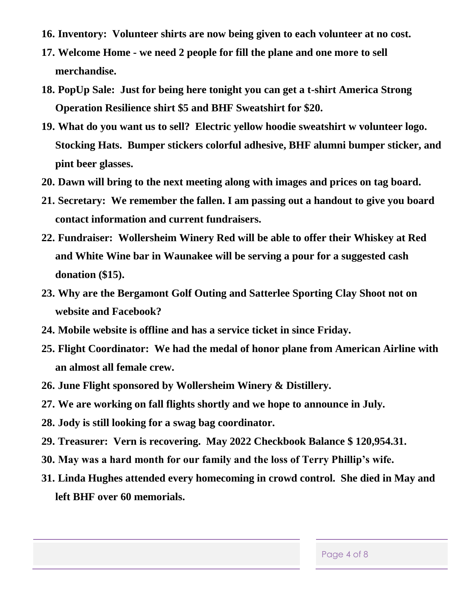- **16. Inventory: Volunteer shirts are now being given to each volunteer at no cost.**
- **17. Welcome Home - we need 2 people for fill the plane and one more to sell merchandise.**
- **18. PopUp Sale: Just for being here tonight you can get a t-shirt America Strong Operation Resilience shirt \$5 and BHF Sweatshirt for \$20.**
- **19. What do you want us to sell? Electric yellow hoodie sweatshirt w volunteer logo. Stocking Hats. Bumper stickers colorful adhesive, BHF alumni bumper sticker, and pint beer glasses.**
- **20. Dawn will bring to the next meeting along with images and prices on tag board.**
- **21. Secretary: We remember the fallen. I am passing out a handout to give you board contact information and current fundraisers.**
- **22. Fundraiser: Wollersheim Winery Red will be able to offer their Whiskey at Red and White Wine bar in Waunakee will be serving a pour for a suggested cash donation (\$15).**
- **23. Why are the Bergamont Golf Outing and Satterlee Sporting Clay Shoot not on website and Facebook?**
- **24. Mobile website is offline and has a service ticket in since Friday.**
- **25. Flight Coordinator: We had the medal of honor plane from American Airline with an almost all female crew.**
- **26. June Flight sponsored by Wollersheim Winery & Distillery.**
- **27. We are working on fall flights shortly and we hope to announce in July.**
- **28. Jody is still looking for a swag bag coordinator.**
- **29. Treasurer: Vern is recovering. May 2022 Checkbook Balance \$ 120,954.31.**
- **30. May was a hard month for our family and the loss of Terry Phillip's wife.**
- **31. Linda Hughes attended every homecoming in crowd control. She died in May and left BHF over 60 memorials.**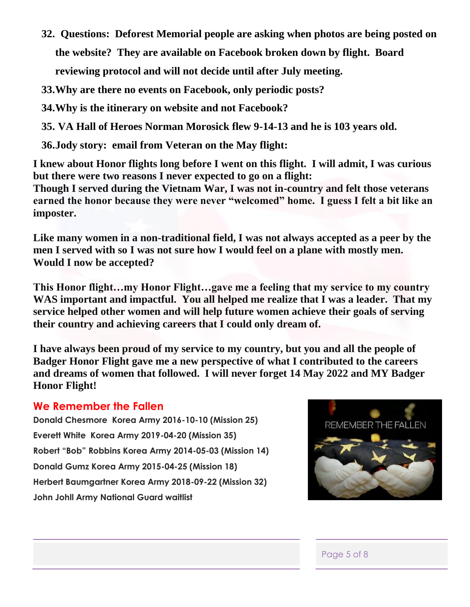**32. Questions: Deforest Memorial people are asking when photos are being posted on the website? They are available on Facebook broken down by flight. Board reviewing protocol and will not decide until after July meeting.**

**33.Why are there no events on Facebook, only periodic posts?** 

**34.Why is the itinerary on website and not Facebook?**

**35. VA Hall of Heroes Norman Morosick flew 9-14-13 and he is 103 years old.** 

**36.Jody story: email from Veteran on the May flight:**

**I knew about Honor flights long before I went on this flight. I will admit, I was curious but there were two reasons I never expected to go on a flight:**

**Though I served during the Vietnam War, I was not in-country and felt those veterans earned the honor because they were never "welcomed" home. I guess I felt a bit like an imposter.**

**Like many women in a non-traditional field, I was not always accepted as a peer by the men I served with so I was not sure how I would feel on a plane with mostly men. Would I now be accepted?**

**This Honor flight…my Honor Flight…gave me a feeling that my service to my country WAS important and impactful. You all helped me realize that I was a leader. That my service helped other women and will help future women achieve their goals of serving their country and achieving careers that I could only dream of.**

**I have always been proud of my service to my country, but you and all the people of Badger Honor Flight gave me a new perspective of what I contributed to the careers and dreams of women that followed. I will never forget 14 May 2022 and MY Badger Honor Flight!**

#### **We Remember the Fallen**

**Donald Chesmore Korea Army 2016-10-10 (Mission 25) Everett White Korea Army 2019-04-20 (Mission 35) Robert "Bob" Robbins Korea Army 2014-05-03 (Mission 14) Donald Gumz Korea Army 2015-04-25 (Mission 18) Herbert Baumgartner Korea Army 2018-09-22 (Mission 32) John Johll Army National Guard waitlist**



#### Page 5 of 8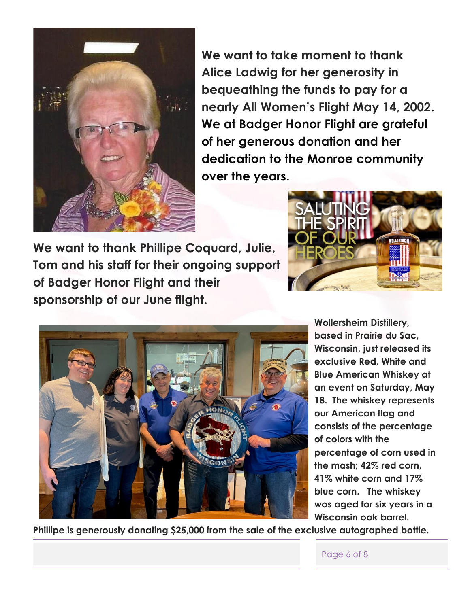

**We want to take moment to thank Alice Ladwig for her generosity in bequeathing the funds to pay for a nearly All Women's Flight May 14, 2002. We at Badger Honor Flight are grateful of her generous donation and her dedication to the Monroe community over the years.**

**We want to thank Phillipe Coquard, Julie, Tom and his staff for their ongoing support of Badger Honor Flight and their sponsorship of our June flight.** 





**Wollersheim Distillery, based in Prairie du Sac, Wisconsin, just released its exclusive Red, White and Blue American Whiskey at an event on Saturday, May 18. The whiskey represents our American flag and consists of the percentage of colors with the percentage of corn used in the mash; 42% red corn, 41% white corn and 17% blue corn. The whiskey was aged for six years in a Wisconsin oak barrel.** 

**Phillipe is generously donating \$25,000 from the sale of the exclusive autographed bottle.**

Page 6 of 8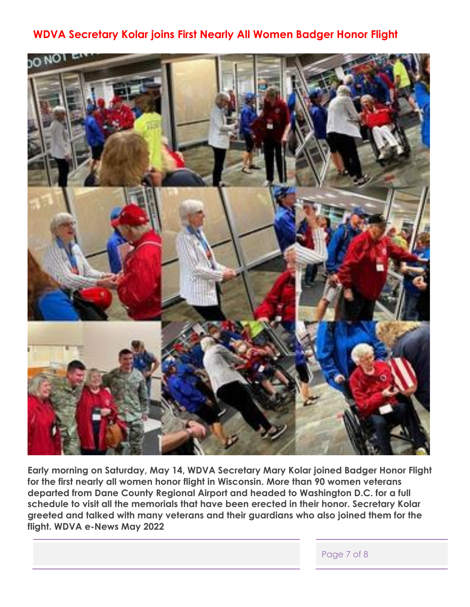## **WDVA Secretary Kolar joins First Nearly All Women Badger Honor Flight**



**Early morning on Saturday, May 14, WDVA Secretary Mary Kolar joined Badger Honor Flight for the first nearly all women honor flight in Wisconsin. More than 90 women veterans departed from Dane County Regional Airport and headed to Washington D.C. for a full schedule to visit all the memorials that have been erected in their honor. Secretary Kolar greeted and talked with many veterans and their guardians who also joined them for the flight. WDVA e-News May 2022** 

Page 7 of 8